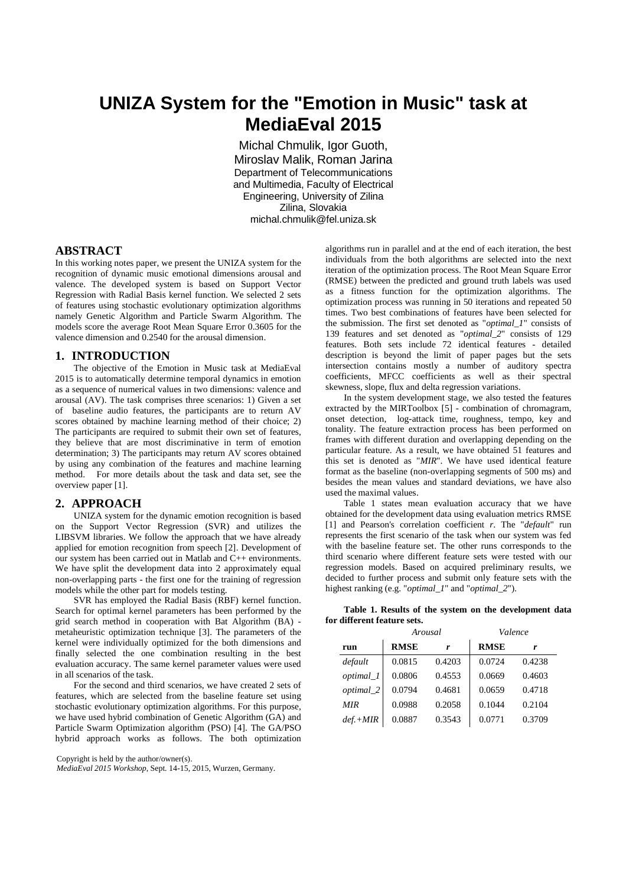# **UNIZA System for the "Emotion in Music" task at MediaEval 2015**

Michal Chmulik, Igor Guoth, Miroslav Malik, Roman Jarina Department of Telecommunications and Multimedia, Faculty of Electrical Engineering, University of Zilina Zilina, Slovakia michal.chmulik@fel.uniza.sk

## **ABSTRACT**

In this working notes paper, we present the UNIZA system for the recognition of dynamic music emotional dimensions arousal and valence. The developed system is based on Support Vector Regression with Radial Basis kernel function. We selected 2 sets of features using stochastic evolutionary optimization algorithms namely Genetic Algorithm and Particle Swarm Algorithm. The models score the average Root Mean Square Error 0.3605 for the valence dimension and 0.2540 for the arousal dimension.

#### **1. INTRODUCTION**

The objective of the Emotion in Music task at MediaEval 2015 is to automatically determine temporal dynamics in emotion as a sequence of numerical values in two dimensions: valence and arousal (AV). The task comprises three scenarios: 1) Given a set of baseline audio features, the participants are to return AV scores obtained by machine learning method of their choice; 2) The participants are required to submit their own set of features, they believe that are most discriminative in term of emotion determination; 3) The participants may return AV scores obtained by using any combination of the features and machine learning method. For more details about the task and data set, see the overview paper [1].

## **2. APPROACH**

UNIZA system for the dynamic emotion recognition is based on the Support Vector Regression (SVR) and utilizes the LIBSVM libraries. We follow the approach that we have already applied for emotion recognition from speech [2]. Development of our system has been carried out in Matlab and C++ environments. We have split the development data into 2 approximately equal non-overlapping parts - the first one for the training of regression models while the other part for models testing.

SVR has employed the Radial Basis (RBF) kernel function. Search for optimal kernel parameters has been performed by the grid search method in cooperation with Bat Algorithm (BA) metaheuristic optimization technique [3]. The parameters of the kernel were individually optimized for the both dimensions and finally selected the one combination resulting in the best evaluation accuracy. The same kernel parameter values were used in all scenarios of the task.

For the second and third scenarios, we have created 2 sets of features, which are selected from the baseline feature set using stochastic evolutionary optimization algorithms. For this purpose, we have used hybrid combination of Genetic Algorithm (GA) and Particle Swarm Optimization algorithm (PSO) [4]. The GA/PSO hybrid approach works as follows. The both optimization

Copyright is held by the author/owner(s).

*MediaEval 2015 Workshop*, Sept. 14-15, 2015, Wurzen, Germany.

algorithms run in parallel and at the end of each iteration, the best individuals from the both algorithms are selected into the next iteration of the optimization process. The Root Mean Square Error (RMSE) between the predicted and ground truth labels was used as a fitness function for the optimization algorithms. The optimization process was running in 50 iterations and repeated 50 times. Two best combinations of features have been selected for the submission. The first set denoted as "*optimal\_1*" consists of 139 features and set denoted as "*optimal\_2*" consists of 129 features. Both sets include 72 identical features - detailed description is beyond the limit of paper pages but the sets intersection contains mostly a number of auditory spectra coefficients, MFCC coefficients as well as their spectral skewness, slope, flux and delta regression variations.

In the system development stage, we also tested the features extracted by the MIRToolbox [5] - combination of chromagram, onset detection, log-attack time, roughness, tempo, key and tonality. The feature extraction process has been performed on frames with different duration and overlapping depending on the particular feature. As a result, we have obtained 51 features and this set is denoted as "*MIR*". We have used identical feature format as the baseline (non-overlapping segments of 500 ms) and besides the mean values and standard deviations, we have also used the maximal values.

Table 1 states mean evaluation accuracy that we have obtained for the development data using evaluation metrics RMSE [1] and Pearson's correlation coefficient *r*. The "*default*" run represents the first scenario of the task when our system was fed with the baseline feature set. The other runs corresponds to the third scenario where different feature sets were tested with our regression models. Based on acquired preliminary results, we decided to further process and submit only feature sets with the highest ranking (e.g. "*optimal\_1*" and "*optimal\_2*").

| Table 1. Results of the system on the development data |  |  |  |
|--------------------------------------------------------|--|--|--|
| for different feature sets.                            |  |  |  |

|            | Arousal     |        | Valence     |        |  |
|------------|-------------|--------|-------------|--------|--|
| run        | <b>RMSE</b> | r      | <b>RMSE</b> | r      |  |
| default    | 0.0815      | 0.4203 | 0.0724      | 0.4238 |  |
| optimal_1  | 0.0806      | 0.4553 | 0.0669      | 0.4603 |  |
| optimal_2  | 0.0794      | 0.4681 | 0.0659      | 0.4718 |  |
| <b>MIR</b> | 0.0988      | 0.2058 | 0.1044      | 0.2104 |  |
| $def.+MIR$ | 0.0887      | 0.3543 | 0.0771      | 0.3709 |  |